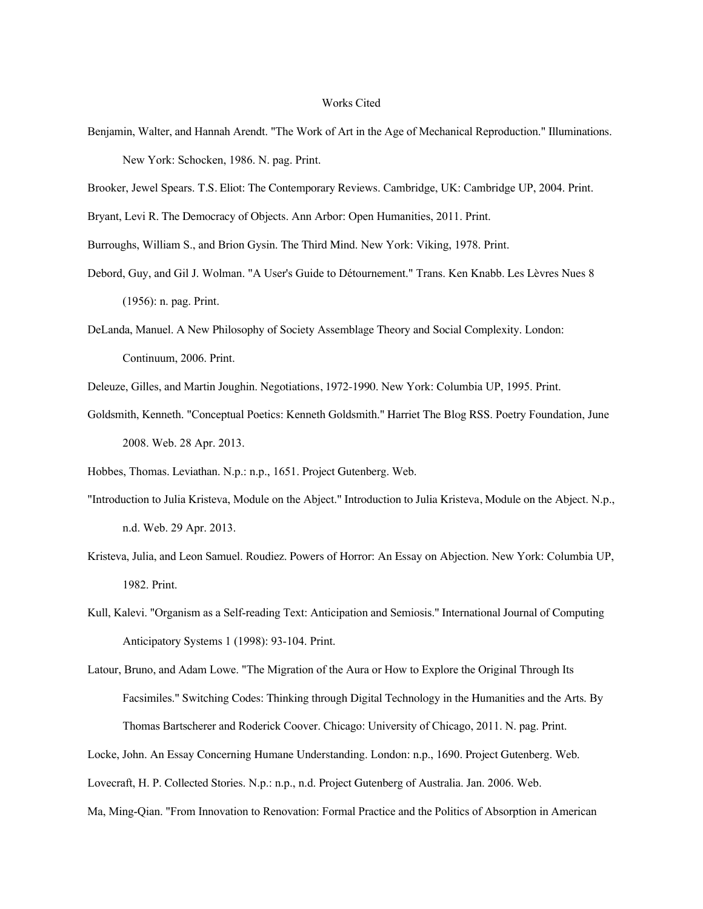## Works Cited

- Benjamin, Walter, and Hannah Arendt. "The Work of Art in the Age of Mechanical Reproduction." Illuminations. New York: Schocken, 1986. N. pag. Print.
- Brooker, Jewel Spears. T.S. Eliot: The Contemporary Reviews. Cambridge, UK: Cambridge UP, 2004. Print.

Bryant, Levi R. The Democracy of Objects. Ann Arbor: Open Humanities, 2011. Print.

Burroughs, William S., and Brion Gysin. The Third Mind. New York: Viking, 1978. Print.

- Debord, Guy, and Gil J. Wolman. "A User's Guide to Détournement." Trans. Ken Knabb. Les Lèvres Nues 8 (1956): n. pag. Print.
- DeLanda, Manuel. A New Philosophy of Society Assemblage Theory and Social Complexity. London: Continuum, 2006. Print.
- Deleuze, Gilles, and Martin Joughin. Negotiations, 1972-1990. New York: Columbia UP, 1995. Print.
- Goldsmith, Kenneth. "Conceptual Poetics: Kenneth Goldsmith." Harriet The Blog RSS. Poetry Foundation, June 2008. Web. 28 Apr. 2013.

Hobbes, Thomas. Leviathan. N.p.: n.p., 1651. Project Gutenberg. Web.

- "Introduction to Julia Kristeva, Module on the Abject." Introduction to Julia Kristeva, Module on the Abject. N.p., n.d. Web. 29 Apr. 2013.
- Kristeva, Julia, and Leon Samuel. Roudiez. Powers of Horror: An Essay on Abjection. New York: Columbia UP, 1982. Print.
- Kull, Kalevi. "Organism as a Self-reading Text: Anticipation and Semiosis." International Journal of Computing Anticipatory Systems 1 (1998): 93-104. Print.

Latour, Bruno, and Adam Lowe. "The Migration of the Aura or How to Explore the Original Through Its Facsimiles." Switching Codes: Thinking through Digital Technology in the Humanities and the Arts. By Thomas Bartscherer and Roderick Coover. Chicago: University of Chicago, 2011. N. pag. Print.

Locke, John. An Essay Concerning Humane Understanding. London: n.p., 1690. Project Gutenberg. Web.

Lovecraft, H. P. Collected Stories. N.p.: n.p., n.d. Project Gutenberg of Australia. Jan. 2006. Web.

Ma, Ming-Qian. "From Innovation to Renovation: Formal Practice and the Politics of Absorption in American